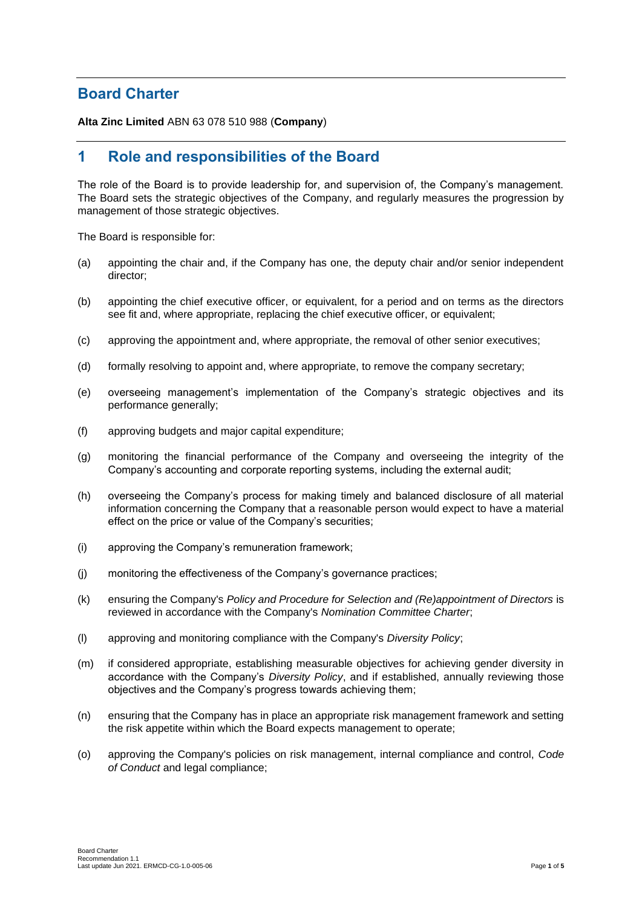## **Board Charter**

**Alta Zinc Limited** ABN 63 078 510 988 (**Company**)

# **1 Role and responsibilities of the Board**

The role of the Board is to provide leadership for, and supervision of, the Company's management. The Board sets the strategic objectives of the Company, and regularly measures the progression by management of those strategic objectives.

The Board is responsible for:

- (a) appointing the chair and, if the Company has one, the deputy chair and/or senior independent director;
- (b) appointing the chief executive officer, or equivalent, for a period and on terms as the directors see fit and, where appropriate, replacing the chief executive officer, or equivalent;
- (c) approving the appointment and, where appropriate, the removal of other senior executives;
- (d) formally resolving to appoint and, where appropriate, to remove the company secretary;
- (e) overseeing management's implementation of the Company's strategic objectives and its performance generally;
- (f) approving budgets and major capital expenditure;
- (g) monitoring the financial performance of the Company and overseeing the integrity of the Company's accounting and corporate reporting systems, including the external audit;
- (h) overseeing the Company's process for making timely and balanced disclosure of all material information concerning the Company that a reasonable person would expect to have a material effect on the price or value of the Company's securities;
- (i) approving the Company's remuneration framework;
- (j) monitoring the effectiveness of the Company's governance practices;
- (k) ensuring the Company's *Policy and Procedure for Selection and (Re)appointment of Directors* is reviewed in accordance with the Company's *Nomination Committee Charter*;
- (l) approving and monitoring compliance with the Company's *Diversity Policy*;
- (m) if considered appropriate, establishing measurable objectives for achieving gender diversity in accordance with the Company's *Diversity Policy*, and if established, annually reviewing those objectives and the Company's progress towards achieving them;
- (n) ensuring that the Company has in place an appropriate risk management framework and setting the risk appetite within which the Board expects management to operate;
- (o) approving the Company's policies on risk management, internal compliance and control, *Code of Conduct* and legal compliance;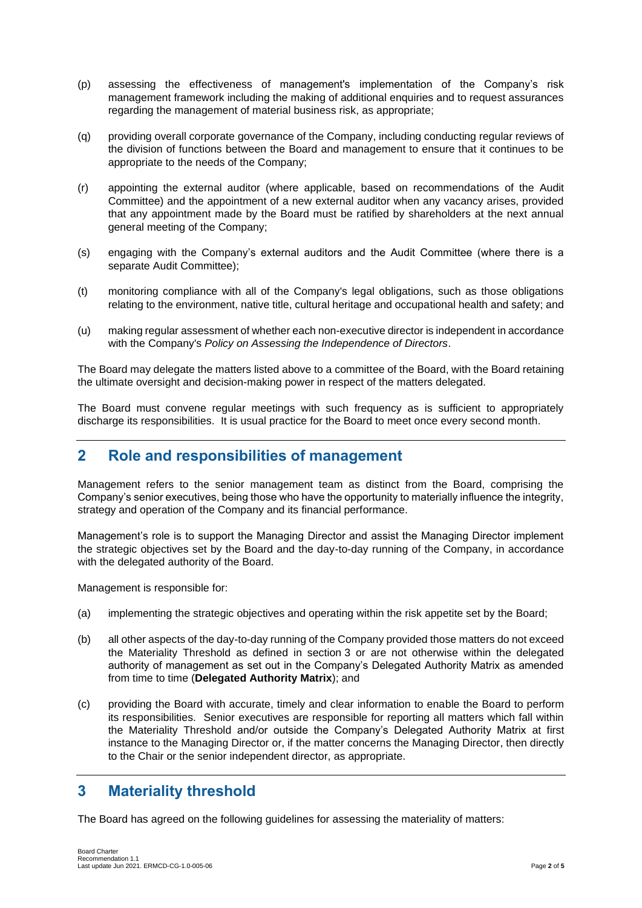- (p) assessing the effectiveness of management's implementation of the Company's risk management framework including the making of additional enquiries and to request assurances regarding the management of material business risk, as appropriate;
- (q) providing overall corporate governance of the Company, including conducting regular reviews of the division of functions between the Board and management to ensure that it continues to be appropriate to the needs of the Company;
- (r) appointing the external auditor (where applicable, based on recommendations of the Audit Committee) and the appointment of a new external auditor when any vacancy arises, provided that any appointment made by the Board must be ratified by shareholders at the next annual general meeting of the Company;
- (s) engaging with the Company's external auditors and the Audit Committee (where there is a separate Audit Committee);
- (t) monitoring compliance with all of the Company's legal obligations, such as those obligations relating to the environment, native title, cultural heritage and occupational health and safety; and
- (u) making regular assessment of whether each non-executive director is independent in accordance with the Company's *Policy on Assessing the Independence of Directors*.

The Board may delegate the matters listed above to a committee of the Board, with the Board retaining the ultimate oversight and decision-making power in respect of the matters delegated.

The Board must convene regular meetings with such frequency as is sufficient to appropriately discharge its responsibilities. It is usual practice for the Board to meet once every second month.

### **2 Role and responsibilities of management**

Management refers to the senior management team as distinct from the Board, comprising the Company's senior executives, being those who have the opportunity to materially influence the integrity, strategy and operation of the Company and its financial performance.

Management's role is to support the Managing Director and assist the Managing Director implement the strategic objectives set by the Board and the day-to-day running of the Company, in accordance with the delegated authority of the Board.

Management is responsible for:

- (a) implementing the strategic objectives and operating within the risk appetite set by the Board;
- (b) all other aspects of the day-to-day running of the Company provided those matters do not exceed the Materiality Threshold as defined in section [3](#page-1-0) or are not otherwise within the delegated authority of management as set out in the Company's Delegated Authority Matrix as amended from time to time (**Delegated Authority Matrix**); and
- (c) providing the Board with accurate, timely and clear information to enable the Board to perform its responsibilities. Senior executives are responsible for reporting all matters which fall within the Materiality Threshold and/or outside the Company's Delegated Authority Matrix at first instance to the Managing Director or, if the matter concerns the Managing Director, then directly to the Chair or the senior independent director, as appropriate.

### <span id="page-1-0"></span>**3 Materiality threshold**

The Board has agreed on the following guidelines for assessing the materiality of matters: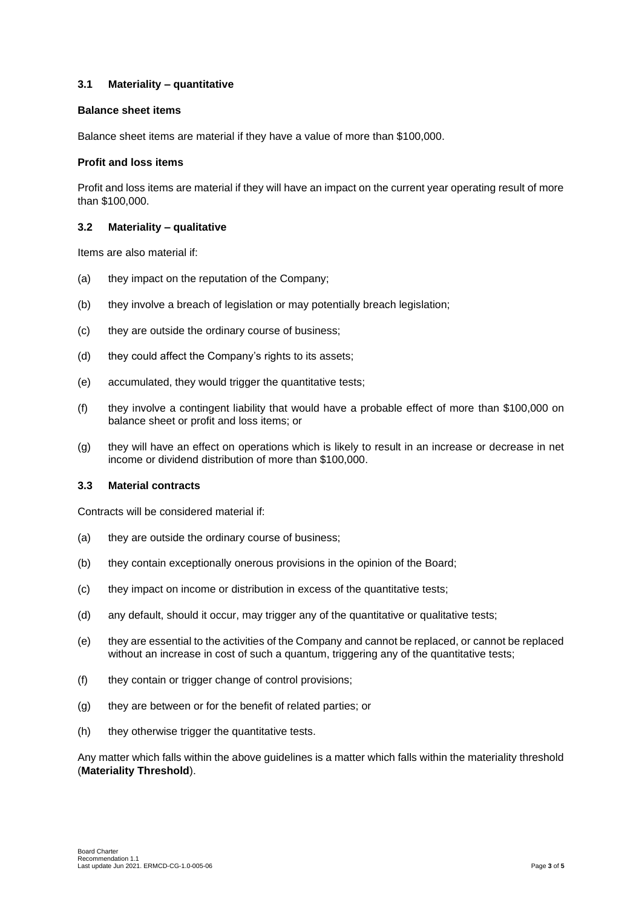#### **3.1 Materiality – quantitative**

#### **Balance sheet items**

Balance sheet items are material if they have a value of more than \$100,000.

#### **Profit and loss items**

Profit and loss items are material if they will have an impact on the current year operating result of more than \$100,000.

#### **3.2 Materiality – qualitative**

Items are also material if:

- (a) they impact on the reputation of the Company;
- (b) they involve a breach of legislation or may potentially breach legislation;
- (c) they are outside the ordinary course of business;
- (d) they could affect the Company's rights to its assets;
- (e) accumulated, they would trigger the quantitative tests;
- (f) they involve a contingent liability that would have a probable effect of more than \$100,000 on balance sheet or profit and loss items; or
- (g) they will have an effect on operations which is likely to result in an increase or decrease in net income or dividend distribution of more than \$100,000.

#### **3.3 Material contracts**

Contracts will be considered material if:

- (a) they are outside the ordinary course of business;
- (b) they contain exceptionally onerous provisions in the opinion of the Board;
- (c) they impact on income or distribution in excess of the quantitative tests;
- (d) any default, should it occur, may trigger any of the quantitative or qualitative tests;
- (e) they are essential to the activities of the Company and cannot be replaced, or cannot be replaced without an increase in cost of such a quantum, triggering any of the quantitative tests;
- (f) they contain or trigger change of control provisions;
- (g) they are between or for the benefit of related parties; or
- (h) they otherwise trigger the quantitative tests.

Any matter which falls within the above guidelines is a matter which falls within the materiality threshold (**Materiality Threshold**).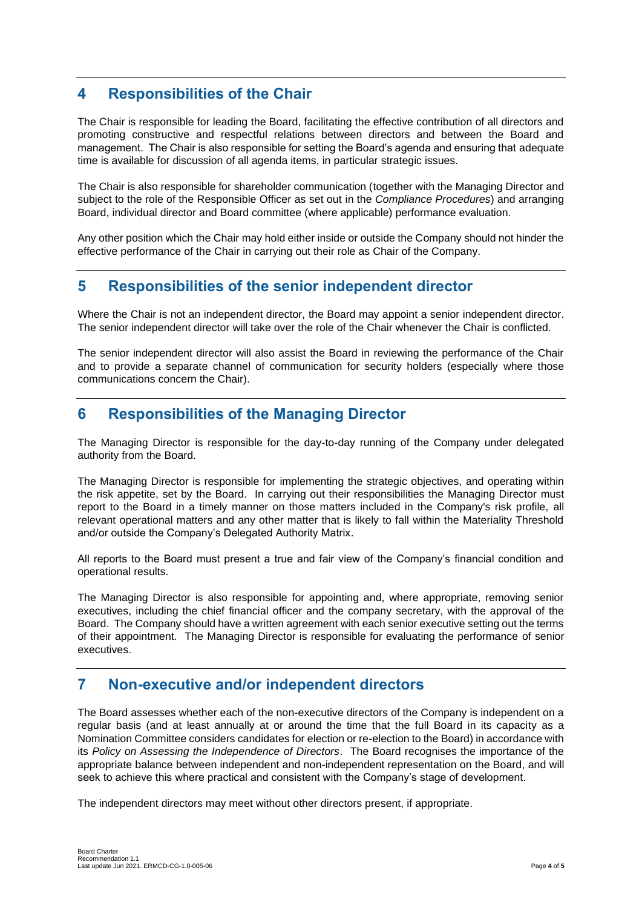## **4 Responsibilities of the Chair**

The Chair is responsible for leading the Board, facilitating the effective contribution of all directors and promoting constructive and respectful relations between directors and between the Board and management. The Chair is also responsible for setting the Board's agenda and ensuring that adequate time is available for discussion of all agenda items, in particular strategic issues.

The Chair is also responsible for shareholder communication (together with the Managing Director and subject to the role of the Responsible Officer as set out in the *Compliance Procedures*) and arranging Board, individual director and Board committee (where applicable) performance evaluation.

Any other position which the Chair may hold either inside or outside the Company should not hinder the effective performance of the Chair in carrying out their role as Chair of the Company.

#### **5 Responsibilities of the senior independent director**

Where the Chair is not an independent director, the Board may appoint a senior independent director. The senior independent director will take over the role of the Chair whenever the Chair is conflicted.

The senior independent director will also assist the Board in reviewing the performance of the Chair and to provide a separate channel of communication for security holders (especially where those communications concern the Chair).

## **6 Responsibilities of the Managing Director**

The Managing Director is responsible for the day-to-day running of the Company under delegated authority from the Board.

The Managing Director is responsible for implementing the strategic objectives, and operating within the risk appetite, set by the Board. In carrying out their responsibilities the Managing Director must report to the Board in a timely manner on those matters included in the Company's risk profile, all relevant operational matters and any other matter that is likely to fall within the Materiality Threshold and/or outside the Company's Delegated Authority Matrix.

All reports to the Board must present a true and fair view of the Company's financial condition and operational results.

The Managing Director is also responsible for appointing and, where appropriate, removing senior executives, including the chief financial officer and the company secretary, with the approval of the Board. The Company should have a written agreement with each senior executive setting out the terms of their appointment. The Managing Director is responsible for evaluating the performance of senior executives.

### **7 Non-executive and/or independent directors**

The Board assesses whether each of the non-executive directors of the Company is independent on a regular basis (and at least annually at or around the time that the full Board in its capacity as a Nomination Committee considers candidates for election or re-election to the Board) in accordance with its *Policy on Assessing the Independence of Directors*. The Board recognises the importance of the appropriate balance between independent and non-independent representation on the Board, and will seek to achieve this where practical and consistent with the Company's stage of development.

The independent directors may meet without other directors present, if appropriate.